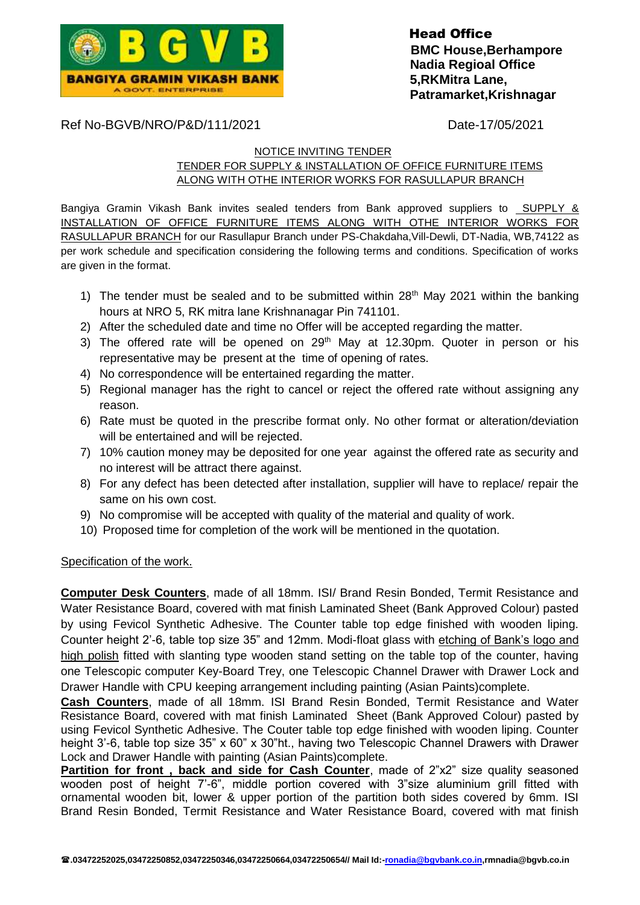

Ref No-BGVB/NRO/P&D/111/2021 Date-17/05/2021

### NOTICE INVITING TENDER

# TENDER FOR SUPPLY & INSTALLATION OF OFFICE FURNITURE ITEMS ALONG WITH OTHE INTERIOR WORKS FOR RASULLAPUR BRANCH

Bangiya Gramin Vikash Bank invites sealed tenders from Bank approved suppliers to SUPPLY & INSTALLATION OF OFFICE FURNITURE ITEMS ALONG WITH OTHE INTERIOR WORKS FOR RASULLAPUR BRANCH for our Rasullapur Branch under PS-Chakdaha,Vill-Dewli, DT-Nadia, WB,74122 as per work schedule and specification considering the following terms and conditions. Specification of works are given in the format.

- 1) The tender must be sealed and to be submitted within  $28<sup>th</sup>$  May 2021 within the banking hours at NRO 5, RK mitra lane Krishnanagar Pin 741101.
- 2) After the scheduled date and time no Offer will be accepted regarding the matter.
- 3) The offered rate will be opened on  $29<sup>th</sup>$  May at 12.30pm. Quoter in person or his representative may be present at the time of opening of rates.
- 4) No correspondence will be entertained regarding the matter.
- 5) Regional manager has the right to cancel or reject the offered rate without assigning any reason.
- 6) Rate must be quoted in the prescribe format only. No other format or alteration/deviation will be entertained and will be rejected.
- 7) 10% caution money may be deposited for one year against the offered rate as security and no interest will be attract there against.
- 8) For any defect has been detected after installation, supplier will have to replace/ repair the same on his own cost.
- 9) No compromise will be accepted with quality of the material and quality of work.
- 10) Proposed time for completion of the work will be mentioned in the quotation.

## Specification of the work.

**Computer Desk Counters**, made of all 18mm. ISI/ Brand Resin Bonded, Termit Resistance and Water Resistance Board, covered with mat finish Laminated Sheet (Bank Approved Colour) pasted by using Fevicol Synthetic Adhesive. The Counter table top edge finished with wooden liping. Counter height 2'-6, table top size 35" and 12mm. Modi-float glass with etching of Bank's logo and high polish fitted with slanting type wooden stand setting on the table top of the counter, having one Telescopic computer Key-Board Trey, one Telescopic Channel Drawer with Drawer Lock and Drawer Handle with CPU keeping arrangement including painting (Asian Paints)complete.

**Cash Counters**, made of all 18mm. ISI Brand Resin Bonded, Termit Resistance and Water Resistance Board, covered with mat finish Laminated Sheet (Bank Approved Colour) pasted by using Fevicol Synthetic Adhesive. The Couter table top edge finished with wooden liping. Counter height 3'-6, table top size 35" x 60" x 30"ht., having two Telescopic Channel Drawers with Drawer Lock and Drawer Handle with painting (Asian Paints)complete.

**Partition for front, back and side for Cash Counter**, made of 2"x2" size quality seasoned wooden post of height 7'-6", middle portion covered with 3"size aluminium grill fitted with ornamental wooden bit, lower & upper portion of the partition both sides covered by 6mm. ISI Brand Resin Bonded, Termit Resistance and Water Resistance Board, covered with mat finish